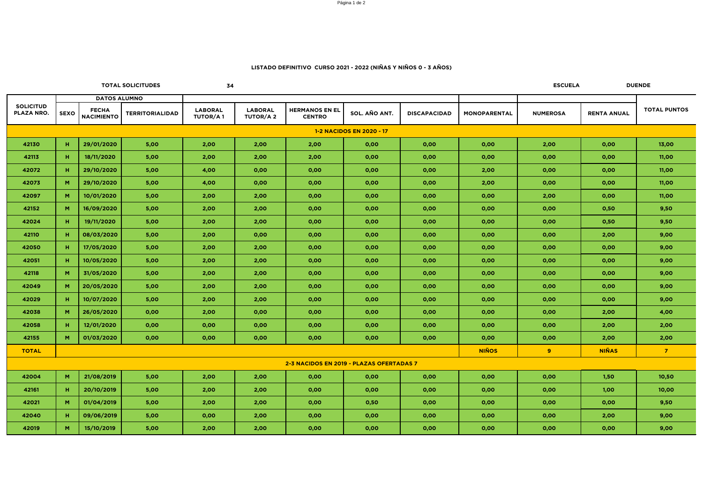Página 1 de 2

| <b>TOTAL SOLICITUDES</b>                 |             |                                   | 34                     |                                   |                                   |                                        |               |                     | <b>ESCUELA</b><br><b>DUENDE</b> |                 |                    |                     |
|------------------------------------------|-------------|-----------------------------------|------------------------|-----------------------------------|-----------------------------------|----------------------------------------|---------------|---------------------|---------------------------------|-----------------|--------------------|---------------------|
|                                          |             | <b>DATOS ALUMNO</b>               |                        |                                   |                                   |                                        |               |                     |                                 |                 |                    |                     |
| <b>SOLICITUD</b><br><b>PLAZA NRO.</b>    | <b>SEXO</b> | <b>FECHA</b><br><b>NACIMIENTO</b> | <b>TERRITORIALIDAD</b> | <b>LABORAL</b><br><b>TUTOR/A1</b> | <b>LABORAL</b><br><b>TUTOR/A2</b> | <b>HERMANOS EN EL</b><br><b>CENTRO</b> | SOL. AÑO ANT. | <b>DISCAPACIDAD</b> | <b>MONOPARENTAL</b>             | <b>NUMEROSA</b> | <b>RENTA ANUAL</b> | <b>TOTAL PUNTOS</b> |
| <b>1-2 NACIDOS EN 2020 - 17</b>          |             |                                   |                        |                                   |                                   |                                        |               |                     |                                 |                 |                    |                     |
| 42130                                    | H           | 29/01/2020                        | 5,00                   | 2,00                              | 2,00                              | 2,00                                   | 0,00          | 0,00                | 0,00                            | 2,00            | 0,00               | 13,00               |
| 42113                                    | H.          | 18/11/2020                        | 5,00                   | 2,00                              | 2,00                              | 2,00                                   | 0,00          | 0,00                | 0,00                            | 0,00            | 0,00               | 11,00               |
| 42072                                    | H           | 29/10/2020                        | 5,00                   | 4,00                              | 0,00                              | 0,00                                   | 0,00          | 0,00                | 2,00                            | 0,00            | 0,00               | 11,00               |
| 42073                                    | M           | 29/10/2020                        | 5,00                   | 4,00                              | 0,00                              | 0,00                                   | 0,00          | 0,00                | 2,00                            | 0,00            | 0,00               | 11,00               |
| 42097                                    | M           | 10/01/2020                        | 5,00                   | 2,00                              | 2,00                              | 0,00                                   | 0,00          | 0,00                | 0,00                            | 2,00            | 0,00               | 11,00               |
| 42152                                    | M           | 16/09/2020                        | 5,00                   | 2,00                              | 2,00                              | 0,00                                   | 0,00          | 0,00                | 0,00                            | 0,00            | 0,50               | 9,50                |
| 42024                                    | H           | 19/11/2020                        | 5,00                   | 2,00                              | 2,00                              | 0,00                                   | 0,00          | 0,00                | 0,00                            | 0,00            | 0,50               | 9,50                |
| 42110                                    | H.          | 08/03/2020                        | 5,00                   | 2,00                              | 0,00                              | 0,00                                   | 0,00          | 0,00                | 0,00                            | 0,00            | 2,00               | 9,00                |
| 42050                                    | H.          | 17/05/2020                        | 5,00                   | 2,00                              | 2,00                              | 0,00                                   | 0,00          | 0,00                | 0,00                            | 0,00            | 0,00               | 9,00                |
| 42051                                    | H.          | 10/05/2020                        | 5,00                   | 2,00                              | 2,00                              | 0,00                                   | 0,00          | 0,00                | 0,00                            | 0,00            | 0,00               | 9,00                |
| 42118                                    | M           | 31/05/2020                        | 5,00                   | 2,00                              | 2,00                              | 0,00                                   | 0,00          | 0,00                | 0,00                            | 0,00            | 0,00               | 9,00                |
| 42049                                    | M           | 20/05/2020                        | 5,00                   | 2,00                              | 2,00                              | 0,00                                   | 0,00          | 0,00                | 0,00                            | 0,00            | 0,00               | 9,00                |
| 42029                                    | H.          | 10/07/2020                        | 5,00                   | 2,00                              | 2,00                              | 0,00                                   | 0,00          | 0,00                | 0,00                            | 0,00            | 0,00               | 9,00                |
| 42038                                    | M           | 26/05/2020                        | 0,00                   | 2,00                              | 0,00                              | 0,00                                   | 0,00          | 0,00                | 0,00                            | 0,00            | 2,00               | 4,00                |
| 42058                                    | H           | 12/01/2020                        | 0,00                   | 0,00                              | 0,00                              | 0,00                                   | 0,00          | 0,00                | 0,00                            | 0,00            | 2,00               | 2,00                |
| 42155                                    | M           | 01/03/2020                        | 0,00                   | 0,00                              | 0,00                              | 0,00                                   | 0,00          | 0,00                | 0,00                            | 0,00            | 2,00               | 2,00                |
| <b>TOTAL</b>                             |             |                                   |                        |                                   |                                   |                                        |               |                     | <b>NIÑOS</b>                    | 9 <sup>°</sup>  | <b>NIÑAS</b>       | $\overline{7}$      |
| 2-3 NACIDOS EN 2019 - PLAZAS OFERTADAS 7 |             |                                   |                        |                                   |                                   |                                        |               |                     |                                 |                 |                    |                     |
| 42004                                    | M           | 21/08/2019                        | 5,00                   | 2,00                              | 2,00                              | 0,00                                   | 0,00          | 0,00                | 0,00                            | 0,00            | 1,50               | 10,50               |
| 42161                                    | H.          | 20/10/2019                        | 5,00                   | 2,00                              | 2,00                              | 0,00                                   | 0,00          | 0,00                | 0,00                            | 0,00            | 1,00               | 10,00               |
| 42021                                    | M           | 01/04/2019                        | 5,00                   | 2,00                              | 2,00                              | 0,00                                   | 0,50          | 0,00                | 0,00                            | 0,00            | 0,00               | 9,50                |
| 42040                                    | H           | 09/06/2019                        | 5,00                   | 0,00                              | 2,00                              | 0,00                                   | 0,00          | 0,00                | 0,00                            | 0,00            | 2,00               | 9,00                |
| 42019                                    | M           | 15/10/2019                        | 5,00                   | 2,00                              | 2,00                              | 0,00                                   | 0,00          | 0,00                | 0,00                            | 0,00            | 0,00               | 9,00                |

## **LISTADO DEFINITIVO CURSO 2021 - 2022 (NIÑAS Y NIÑOS 0 - 3 AÑOS)**